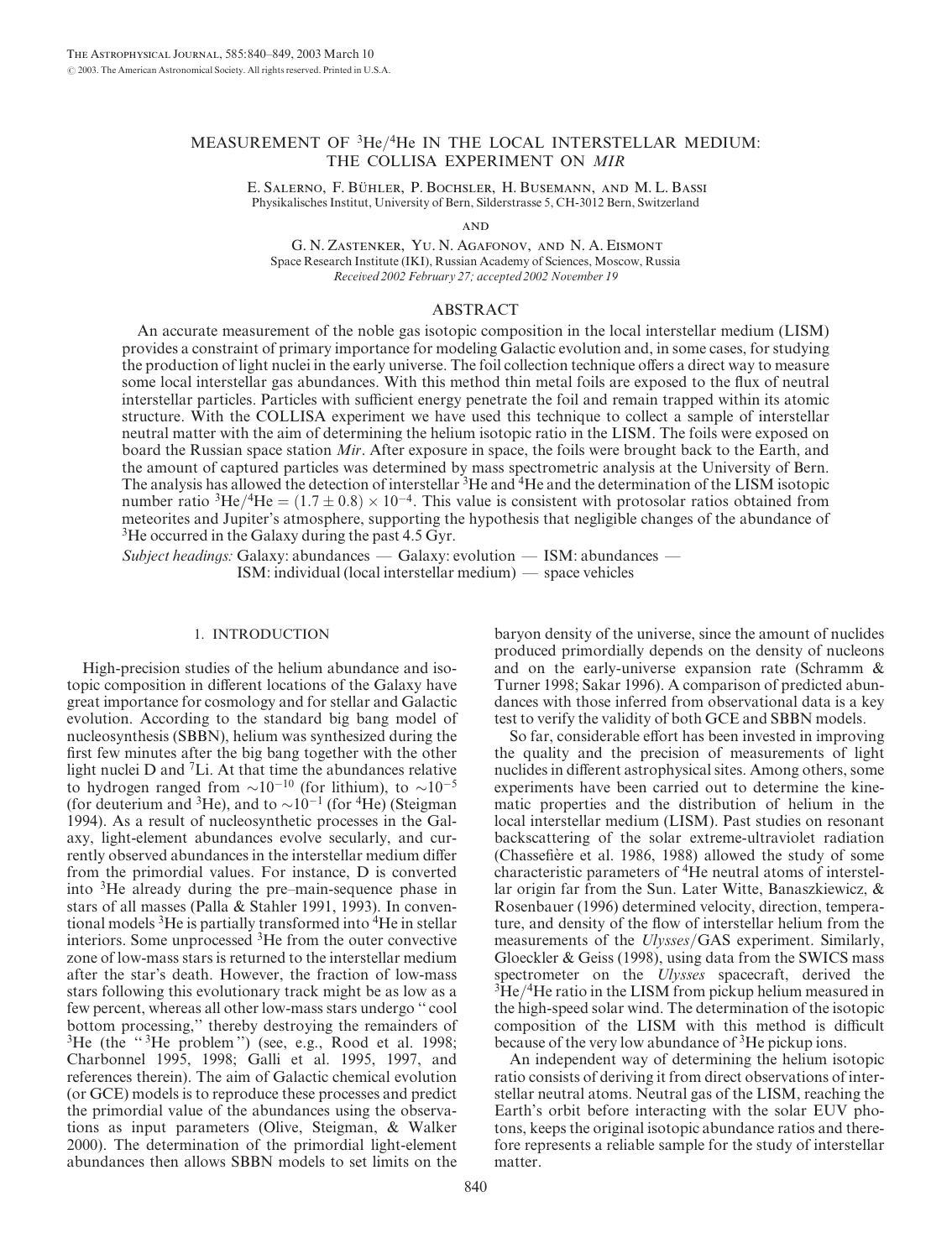# MEASUREMENT OF 3He/4He IN THE LOCAL INTERSTELLAR MEDIUM: THE COLLISA EXPERIMENT ON MIR

E. SALERNO, F. BÜHLER, P. BOCHSLER, H. BUSEMANN, AND M. L. BASSI Physikalisches Institut, University of Bern, Silderstrasse 5, CH-3012 Bern, Switzerland

**AND** 

G. N. Zastenker, Yu. N. Agafonov, and N. A. Eismont Space Research Institute (IKI), Russian Academy of Sciences, Moscow, Russia Received 2002 February 27; accepted 2002 November 19

#### ABSTRACT

An accurate measurement of the noble gas isotopic composition in the local interstellar medium (LISM) provides a constraint of primary importance for modeling Galactic evolution and, in some cases, for studying the production of light nuclei in the early universe. The foil collection technique offers a direct way to measure some local interstellar gas abundances. With this method thin metal foils are exposed to the flux of neutral interstellar particles. Particles with sufficient energy penetrate the foil and remain trapped within its atomic structure. With the COLLISA experiment we have used this technique to collect a sample of interstellar neutral matter with the aim of determining the helium isotopic ratio in the LISM. The foils were exposed on board the Russian space station Mir. After exposure in space, the foils were brought back to the Earth, and the amount of captured particles was determined by mass spectrometric analysis at the University of Bern. The analysis has allowed the detection of interstellar <sup>3</sup>He and <sup>4</sup>He and the determination of the LISM isotopic number ratio <sup>3</sup>He/<sup>4</sup>He =  $(1.7 \pm 0.8) \times 10^{-4}$ . This value is consistent with protosolar ratios obtained from meteorites and Jupiter's atmosphere, supporting the hypothesis that negligible changes of the abundance of <sup>3</sup>He occurred in the Galaxy during the past 4.5 Gyr.

Subject headings: Galaxy: abundances — Galaxy: evolution — ISM: abundances — ISM: individual (local interstellar medium) — space vehicles

### 1. INTRODUCTION

High-precision studies of the helium abundance and isotopic composition in different locations of the Galaxy have great importance for cosmology and for stellar and Galactic evolution. According to the standard big bang model of nucleosynthesis (SBBN), helium was synthesized during the first few minutes after the big bang together with the other light nuclei D and 7Li. At that time the abundances relative to hydrogen ranged from  $\sim 10^{-10}$  (for lithium), to  $\sim 10^{-5}$ (for deuterium and <sup>3</sup>He), and to  $\sim 10^{-1}$  (for <sup>4</sup>He) (Steigman 1994). As a result of nucleosynthetic processes in the Galaxy, light-element abundances evolve secularly, and currently observed abundances in the interstellar medium differ from the primordial values. For instance, D is converted into 3He already during the pre–main-sequence phase in stars of all masses (Palla & Stahler 1991, 1993). In conventional models 3He is partially transformed into 4He in stellar interiors. Some unprocessed 3He from the outer convective zone of low-mass stars is returned to the interstellar medium after the star's death. However, the fraction of low-mass stars following this evolutionary track might be as low as a few percent, whereas all other low-mass stars undergo '' cool bottom processing,'' thereby destroying the remainders of  ${}^{3}$ He (the " ${}^{3}$ He problem") (see, e.g., Rood et al. 1998; Charbonnel 1995, 1998; Galli et al. 1995, 1997, and references therein). The aim of Galactic chemical evolution (or GCE) models is to reproduce these processes and predict the primordial value of the abundances using the observations as input parameters (Olive, Steigman, & Walker 2000). The determination of the primordial light-element abundances then allows SBBN models to set limits on the

baryon density of the universe, since the amount of nuclides produced primordially depends on the density of nucleons and on the early-universe expansion rate (Schramm & Turner 1998; Sakar 1996). A comparison of predicted abundances with those inferred from observational data is a key test to verify the validity of both GCE and SBBN models.

So far, considerable effort has been invested in improving the quality and the precision of measurements of light nuclides in different astrophysical sites. Among others, some experiments have been carried out to determine the kinematic properties and the distribution of helium in the local interstellar medium (LISM). Past studies on resonant backscattering of the solar extreme-ultraviolet radiation (Chassefiere et al. 1986, 1988) allowed the study of some characteristic parameters of 4He neutral atoms of interstellar origin far from the Sun. Later Witte, Banaszkiewicz, & Rosenbauer (1996) determined velocity, direction, temperature, and density of the flow of interstellar helium from the measurements of the Ulysses/GAS experiment. Similarly, Gloeckler & Geiss (1998), using data from the SWICS mass spectrometer on the *Ulysses* spacecraft, derived the  $3$ He/ $4$ He ratio in the LISM from pickup helium measured in the high-speed solar wind. The determination of the isotopic composition of the LISM with this method is difficult because of the very low abundance of <sup>3</sup>He pickup ions.

An independent way of determining the helium isotopic ratio consists of deriving it from direct observations of interstellar neutral atoms. Neutral gas of the LISM, reaching the Earth's orbit before interacting with the solar EUV photons, keeps the original isotopic abundance ratios and therefore represents a reliable sample for the study of interstellar matter.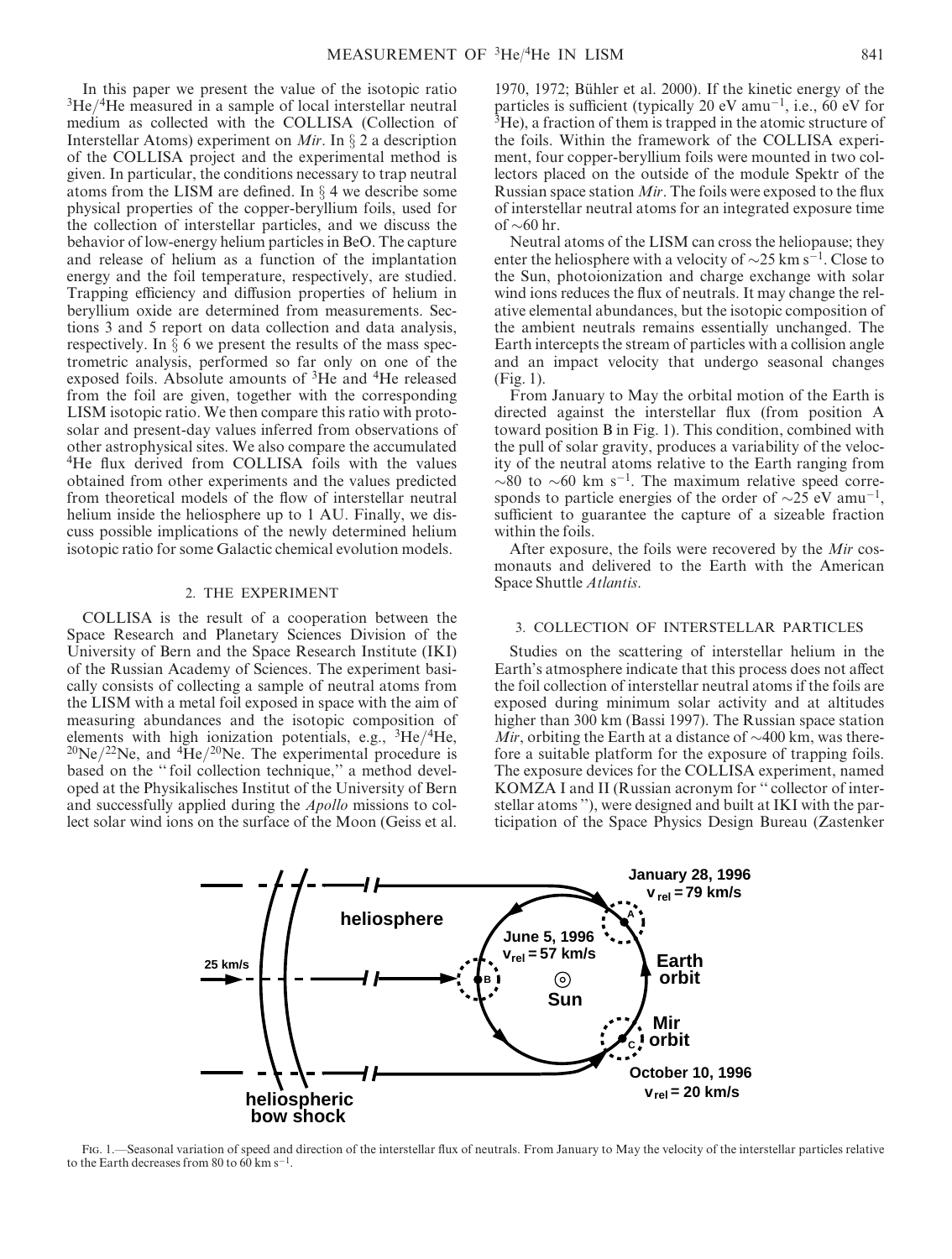In this paper we present the value of the isotopic ratio  $3He/4He$  measured in a sample of local interstellar neutral medium as collected with the COLLISA (Collection of Interstellar Atoms) experiment on *Mir*. In  $\S 2$  a description of the COLLISA project and the experimental method is given. In particular, the conditions necessary to trap neutral atoms from the LISM are defined. In  $\S$  4 we describe some physical properties of the copper-beryllium foils, used for the collection of interstellar particles, and we discuss the behavior of low-energy helium particles in BeO. The capture and release of helium as a function of the implantation energy and the foil temperature, respectively, are studied. Trapping efficiency and diffusion properties of helium in beryllium oxide are determined from measurements. Sections 3 and 5 report on data collection and data analysis, respectively. In  $\bar{\S}$  6 we present the results of the mass spectrometric analysis, performed so far only on one of the exposed foils. Absolute amounts of 3He and 4He released from the foil are given, together with the corresponding LISM isotopic ratio. We then compare this ratio with protosolar and present-day values inferred from observations of other astrophysical sites. We also compare the accumulated <sup>4</sup>He flux derived from COLLISA foils with the values obtained from other experiments and the values predicted from theoretical models of the flow of interstellar neutral helium inside the heliosphere up to 1 AU. Finally, we discuss possible implications of the newly determined helium isotopic ratio for some Galactic chemical evolution models.

#### 2. THE EXPERIMENT

COLLISA is the result of a cooperation between the Space Research and Planetary Sciences Division of the University of Bern and the Space Research Institute (IKI) of the Russian Academy of Sciences. The experiment basically consists of collecting a sample of neutral atoms from the LISM with a metal foil exposed in space with the aim of measuring abundances and the isotopic composition of elements with high ionization potentials, e.g., 3He/4He,  $^{20}$ Ne/<sup>22</sup>Ne, and  $^{4}$ He/<sup>20</sup>Ne. The experimental procedure is based on the "foil collection technique," a method developed at the Physikalisches Institut of the University of Bern and successfully applied during the Apollo missions to collect solar wind ions on the surface of the Moon (Geiss et al.

1970, 1972; Bühler et al.  $2000$ ). If the kinetic energy of the particles is sufficient (typically 20 eV amu<sup>-1</sup>, i.e., 60 eV for  ${}^{3}$ He), a fraction of them is trapped in the atomic structure of the foils. Within the framework of the COLLISA experiment, four copper-beryllium foils were mounted in two collectors placed on the outside of the module Spektr of the Russian space station Mir. The foils were exposed to the flux of interstellar neutral atoms for an integrated exposure time of  $\sim 60$  hr.

Neutral atoms of the LISM can cross the heliopause; they enter the heliosphere with a velocity of  $\sim$ 25 km s<sup>-1</sup>. Close to the Sun, photoionization and charge exchange with solar wind ions reduces the flux of neutrals. It may change the relative elemental abundances, but the isotopic composition of the ambient neutrals remains essentially unchanged. The Earth intercepts the stream of particles with a collision angle and an impact velocity that undergo seasonal changes (Fig. 1).

From January to May the orbital motion of the Earth is directed against the interstellar flux (from position A toward position B in Fig. 1). This condition, combined with the pull of solar gravity, produces a variability of the velocity of the neutral atoms relative to the Earth ranging from  $\sim 80$  to  $\sim 60$  km s<sup>-1</sup>. The maximum relative speed corresponds to particle energies of the order of  $\sim$ 25 eV amu<sup>-1</sup>, sufficient to guarantee the capture of a sizeable fraction within the foils.

After exposure, the foils were recovered by the Mir cosmonauts and delivered to the Earth with the American Space Shuttle Atlantis.

## 3. COLLECTION OF INTERSTELLAR PARTICLES

Studies on the scattering of interstellar helium in the Earth's atmosphere indicate that this process does not affect the foil collection of interstellar neutral atoms if the foils are exposed during minimum solar activity and at altitudes higher than 300 km (Bassi 1997). The Russian space station Mir, orbiting the Earth at a distance of  $\sim$ 400 km, was therefore a suitable platform for the exposure of trapping foils. The exposure devices for the COLLISA experiment, named KOMZA I and II (Russian acronym for '' collector of interstellar atoms ''), were designed and built at IKI with the participation of the Space Physics Design Bureau (Zastenker



Fig. 1.—Seasonal variation of speed and direction of the interstellar flux of neutrals. From January to May the velocity of the interstellar particles relative to the Earth decreases from 80 to 60 km s<sup>-1</sup>.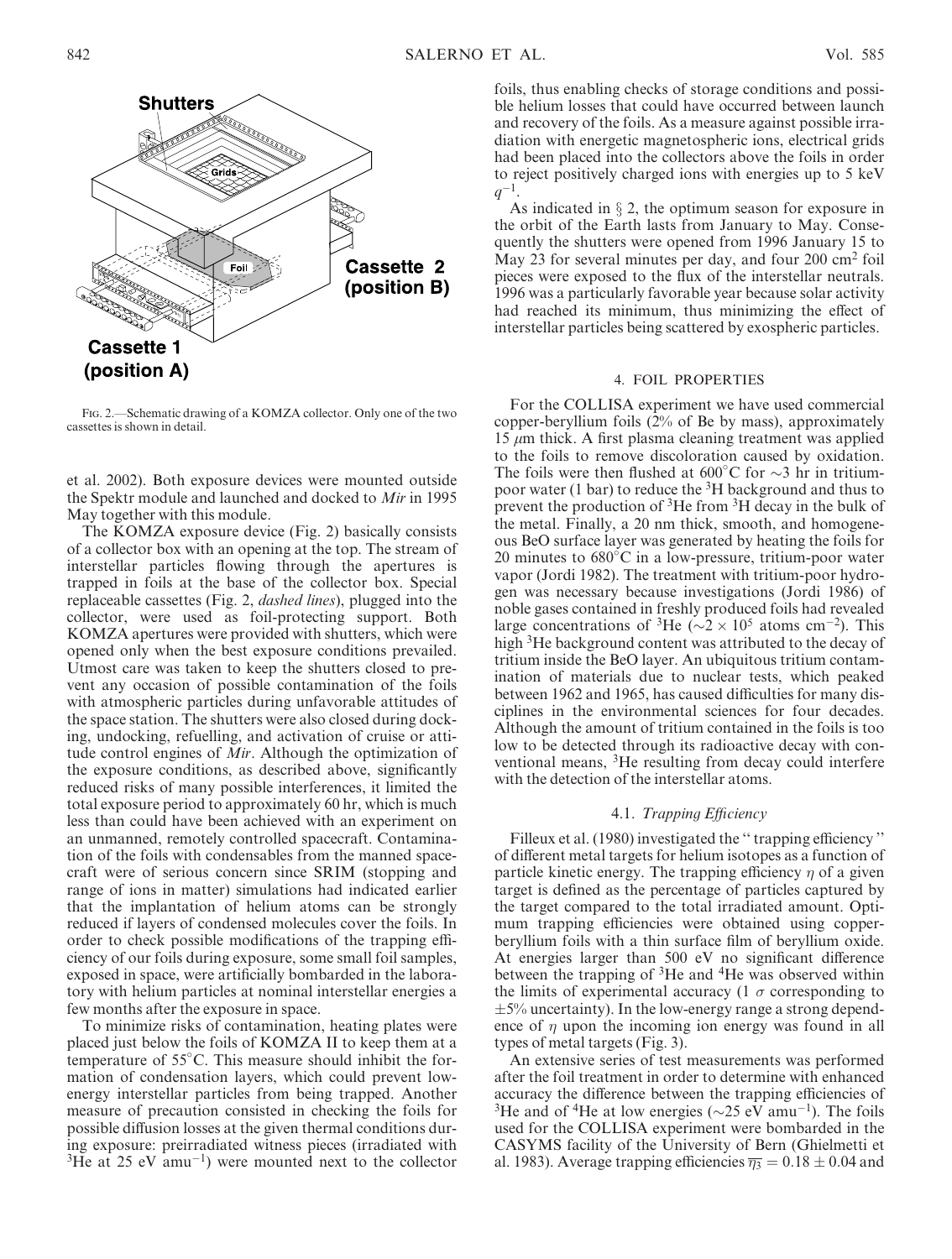

Fig. 2.—Schematic drawing of a KOMZA collector. Only one of the two cassettes is shown in detail.

et al. 2002). Both exposure devices were mounted outside the Spektr module and launched and docked to Mir in 1995 May together with this module.

The KOMZA exposure device (Fig. 2) basically consists of a collector box with an opening at the top. The stream of interstellar particles flowing through the apertures is trapped in foils at the base of the collector box. Special replaceable cassettes (Fig. 2, dashed lines), plugged into the collector, were used as foil-protecting support. Both KOMZA apertures were provided with shutters, which were opened only when the best exposure conditions prevailed. Utmost care was taken to keep the shutters closed to prevent any occasion of possible contamination of the foils with atmospheric particles during unfavorable attitudes of the space station. The shutters were also closed during docking, undocking, refuelling, and activation of cruise or attitude control engines of Mir. Although the optimization of the exposure conditions, as described above, significantly reduced risks of many possible interferences, it limited the total exposure period to approximately 60 hr, which is much less than could have been achieved with an experiment on an unmanned, remotely controlled spacecraft. Contamination of the foils with condensables from the manned spacecraft were of serious concern since SRIM (stopping and range of ions in matter) simulations had indicated earlier that the implantation of helium atoms can be strongly reduced if layers of condensed molecules cover the foils. In order to check possible modifications of the trapping efficiency of our foils during exposure, some small foil samples, exposed in space, were artificially bombarded in the laboratory with helium particles at nominal interstellar energies a few months after the exposure in space.

To minimize risks of contamination, heating plates were placed just below the foils of KOMZA II to keep them at a temperature of 55 C. This measure should inhibit the formation of condensation layers, which could prevent lowenergy interstellar particles from being trapped. Another measure of precaution consisted in checking the foils for possible diffusion losses at the given thermal conditions during exposure: preirradiated witness pieces (irradiated with  $3$ He at 25 eV amu<sup>-1</sup>) were mounted next to the collector

foils, thus enabling checks of storage conditions and possible helium losses that could have occurred between launch and recovery of the foils. As a measure against possible irradiation with energetic magnetospheric ions, electrical grids had been placed into the collectors above the foils in order to reject positively charged ions with energies up to 5 keV  $q^{-1}$ 

As indicated in  $\S 2$ , the optimum season for exposure in the orbit of the Earth lasts from January to May. Consequently the shutters were opened from 1996 January 15 to May 23 for several minutes per day, and four  $200 \text{ cm}^2$  foil pieces were exposed to the flux of the interstellar neutrals. 1996 was a particularly favorable year because solar activity had reached its minimum, thus minimizing the effect of interstellar particles being scattered by exospheric particles.

### 4. FOIL PROPERTIES

For the COLLISA experiment we have used commercial copper-beryllium foils (2% of Be by mass), approximately 15  $\mu$ m thick. A first plasma cleaning treatment was applied to the foils to remove discoloration caused by oxidation. The foils were then flushed at  $600^{\circ}$ C for  $\sim$ 3 hr in tritiumpoor water (1 bar) to reduce the  ${}^{3}H$  background and thus to prevent the production of 3He from 3H decay in the bulk of the metal. Finally, a 20 nm thick, smooth, and homogeneous BeO surface layer was generated by heating the foils for 20 minutes to  $680^{\circ}$ C in a low-pressure, tritium-poor water vapor (Jordi 1982). The treatment with tritium-poor hydrogen was necessary because investigations (Jordi 1986) of noble gases contained in freshly produced foils had revealed large concentrations of <sup>3</sup>He ( $\sim$ 2  $\times$  10<sup>5</sup> atoms cm<sup>-2</sup>). This high <sup>3</sup>He background content was attributed to the decay of tritium inside the BeO layer. An ubiquitous tritium contamination of materials due to nuclear tests, which peaked between 1962 and 1965, has caused difficulties for many disciplines in the environmental sciences for four decades. Although the amount of tritium contained in the foils is too low to be detected through its radioactive decay with conventional means, 3He resulting from decay could interfere with the detection of the interstellar atoms.

### 4.1. Trapping Efficiency

Filleux et al. (1980) investigated the "trapping efficiency" of different metal targets for helium isotopes as a function of particle kinetic energy. The trapping efficiency  $\eta$  of a given target is defined as the percentage of particles captured by the target compared to the total irradiated amount. Optimum trapping efficiencies were obtained using copperberyllium foils with a thin surface film of beryllium oxide. At energies larger than 500 eV no significant difference between the trapping of  ${}^{3}$ He and  ${}^{4}$ He was observed within the limits of experimental accuracy (1  $\sigma$  corresponding to  $\pm$ 5% uncertainty). In the low-energy range a strong dependence of  $\eta$  upon the incoming ion energy was found in all types of metal targets (Fig. 3).

An extensive series of test measurements was performed after the foil treatment in order to determine with enhanced accuracy the difference between the trapping efficiencies of <sup>3</sup>He and of <sup>4</sup>He at low energies ( $\sim$ 25 eV amu<sup>-1</sup>). The foils used for the COLLISA experiment were bombarded in the CASYMS facility of the University of Bern (Ghielmetti et al. 1983). Average trapping efficiencies  $\overline{\eta_3} = 0.18 \pm 0.04$  and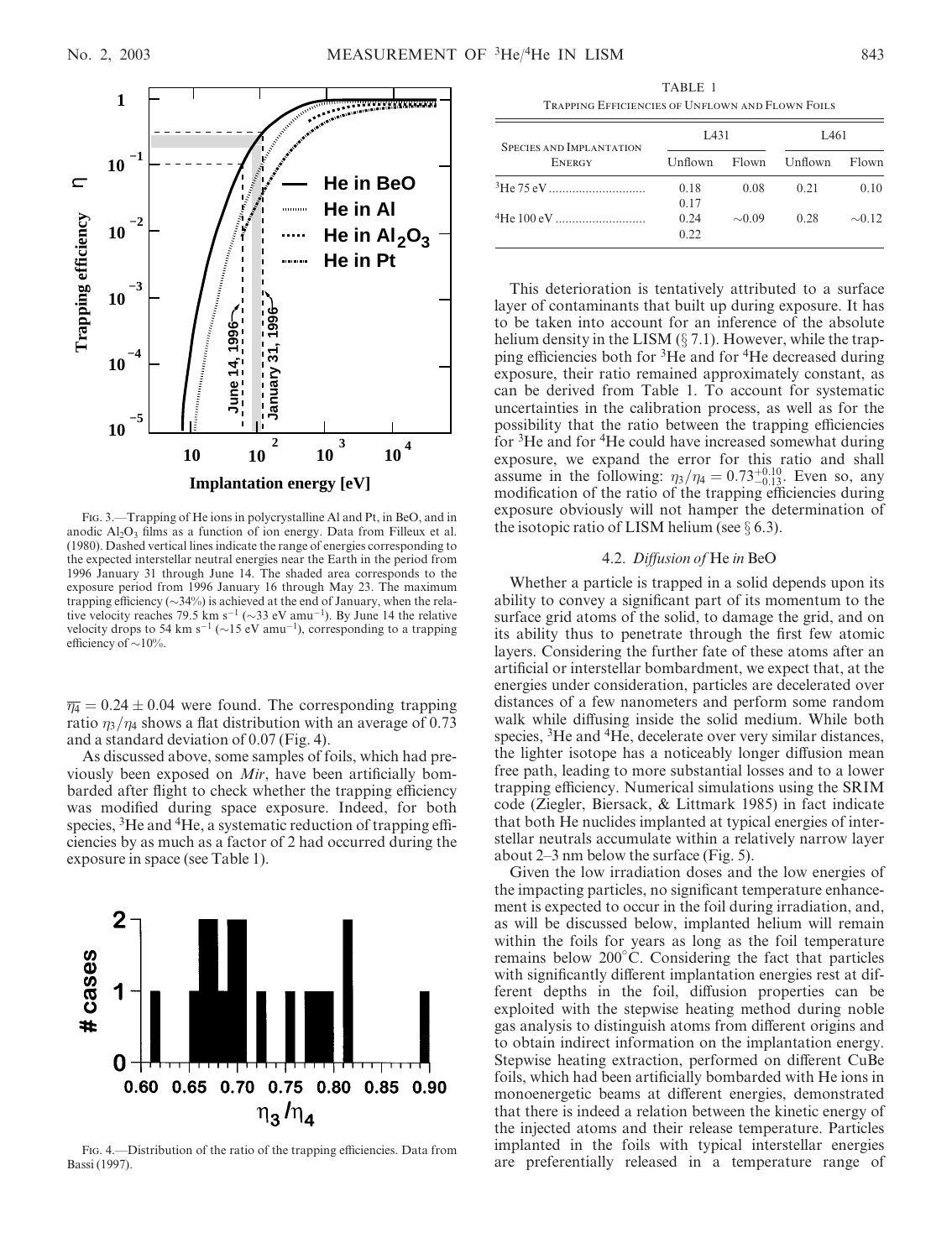



Fig. 3.—Trapping of He ions in polycrystalline Al and Pt, in BeO, and in anodic  $Al_2O_3$  films as a function of ion energy. Data from Filleux et al. (1980). Dashed vertical lines indicate the range of energies corresponding to the expected interstellar neutral energies near the Earth in the period from 1996 January 31 through June 14. The shaded area corresponds to the exposure period from 1996 January 16 through May 23. The maximum trapping efficiency ( $\sim$ 34%) is achieved at the end of January, when the relative velocity reaches 79.5 km s<sup>-1</sup> ( $\sim$ 33 eV amu<sup>-1</sup>). By June 14 the relative velocity drops to 54 km s<sup>-1</sup> ( $\sim$ 15 eV amu<sup>-1</sup>), corresponding to a trapping efficiency of  $\sim$ 10%.

 $\overline{\eta_4}$  = 0.24  $\pm$  0.04 were found. The corresponding trapping ratio  $\eta_3/\eta_4$  shows a flat distribution with an average of 0.73 and a standard deviation of 0.07 (Fig. 4).

As discussed above, some samples of foils, which had previously been exposed on Mir, have been artificially bombarded after flight to check whether the trapping efficiency was modified during space exposure. Indeed, for both species, <sup>3</sup>He and <sup>4</sup>He, a systematic reduction of trapping efficiencies by as much as a factor of 2 had occurred during the exposure in space (see Table 1).



Fig. 4.—Distribution of the ratio of the trapping efficiencies. Data from Bassi (1997).

TABLE 1 Trapping Efficiencies of Unflown and Flown Foils

| <b>SPECIES AND IMPLANTATION</b> | L <sub>431</sub> |             | L461          |             |
|---------------------------------|------------------|-------------|---------------|-------------|
| <b>ENERGY</b>                   | Unflown          |             | Flown Unflown | Flown       |
| <sup>3</sup> He 75 eV           | 0.18<br>0.17     | 0.08        | 0.21          | 0.10        |
|                                 | 0.24<br>0.22     | $\sim 0.09$ | 0.28          | $\sim$ 0.12 |

This deterioration is tentatively attributed to a surface layer of contaminants that built up during exposure. It has to be taken into account for an inference of the absolute helium density in the LISM  $(\S 7.1)$ . However, while the trapping efficiencies both for 3He and for 4He decreased during exposure, their ratio remained approximately constant, as can be derived from Table 1. To account for systematic uncertainties in the calibration process, as well as for the possibility that the ratio between the trapping efficiencies for <sup>3</sup>He and for <sup>4</sup>He could have increased somewhat during exposure, we expand the error for this ratio and shall assume in the following:  $\eta_3/\eta_4 = 0.73^{+0.10}_{-0.13}$ . Even so, any modification of the ratio of the trapping efficiencies during exposure obviously will not hamper the determination of the isotopic ratio of LISM helium (see  $\S$  6.3).

### 4.2. Diffusion of He in BeO

Whether a particle is trapped in a solid depends upon its ability to convey a significant part of its momentum to the surface grid atoms of the solid, to damage the grid, and on its ability thus to penetrate through the first few atomic layers. Considering the further fate of these atoms after an artificial or interstellar bombardment, we expect that, at the energies under consideration, particles are decelerated over distances of a few nanometers and perform some random walk while diffusing inside the solid medium. While both species, <sup>3</sup>He and <sup>4</sup>He, decelerate over very similar distances, the lighter isotope has a noticeably longer diffusion mean free path, leading to more substantial losses and to a lower trapping efficiency. Numerical simulations using the SRIM code (Ziegler, Biersack, & Littmark 1985) in fact indicate that both He nuclides implanted at typical energies of interstellar neutrals accumulate within a relatively narrow layer about 2–3 nm below the surface (Fig. 5).

Given the low irradiation doses and the low energies of the impacting particles, no significant temperature enhancement is expected to occur in the foil during irradiation, and, as will be discussed below, implanted helium will remain within the foils for years as long as the foil temperature remains below 200 C. Considering the fact that particles with significantly different implantation energies rest at different depths in the foil, diffusion properties can be exploited with the stepwise heating method during noble gas analysis to distinguish atoms from different origins and to obtain indirect information on the implantation energy. Stepwise heating extraction, performed on different CuBe foils, which had been artificially bombarded with He ions in monoenergetic beams at different energies, demonstrated that there is indeed a relation between the kinetic energy of the injected atoms and their release temperature. Particles implanted in the foils with typical interstellar energies are preferentially released in a temperature range of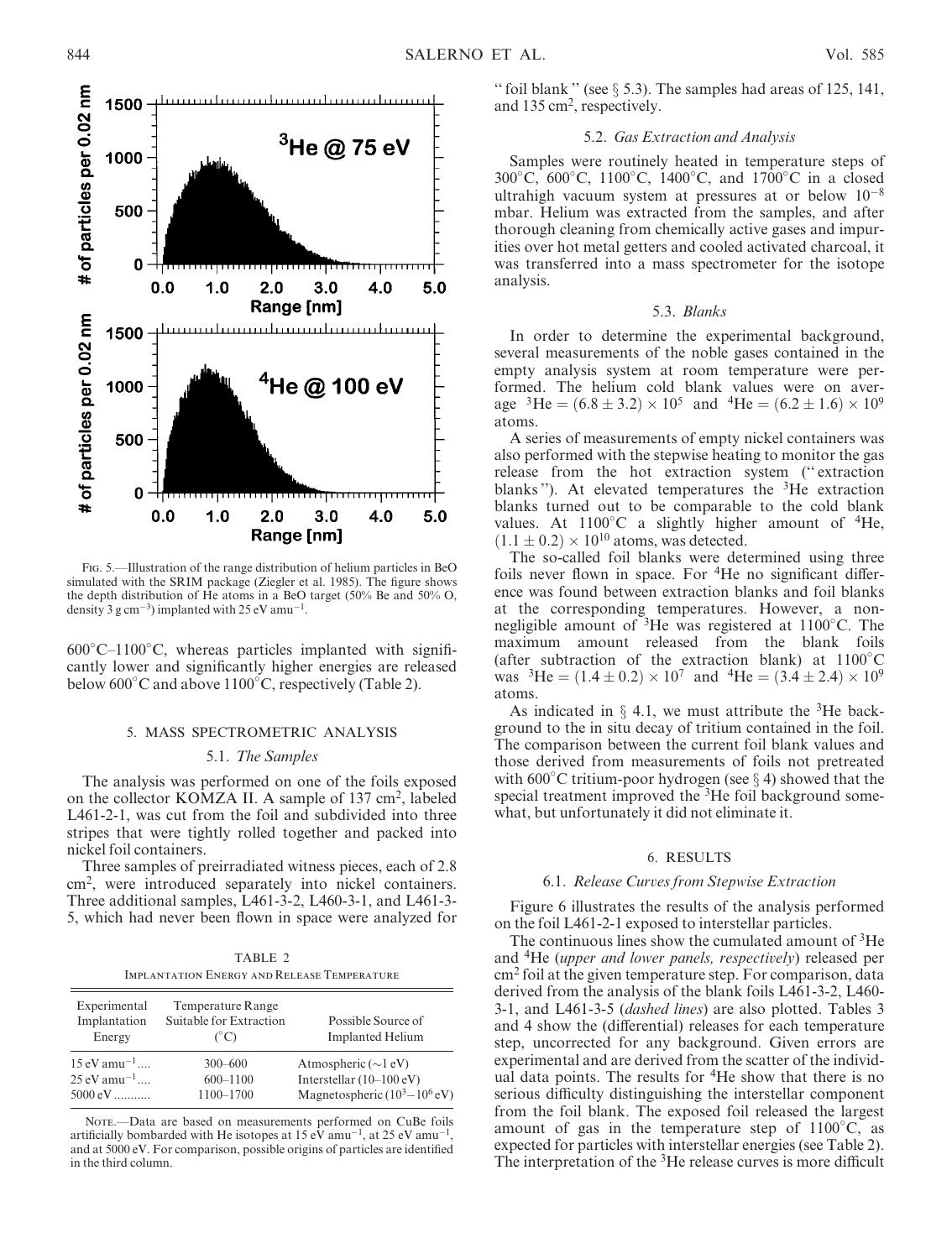

Fig. 5.—Illustration of the range distribution of helium particles in BeO simulated with the SRIM package (Ziegler et al. 1985). The figure shows the depth distribution of He atoms in a BeO target (50% Be and 50% O, density 3 g cm<sup>-3</sup>) implanted with 25 eV amu<sup>-1</sup>.

600 C–1100 C, whereas particles implanted with significantly lower and significantly higher energies are released below 600°C and above 1100°C, respectively (Table 2).

### 5. MASS SPECTROMETRIC ANALYSIS

#### 5.1. The Samples

The analysis was performed on one of the foils exposed on the collector KOMZA II. A sample of 137 cm<sup>2</sup>, labeled L461-2-1, was cut from the foil and subdivided into three stripes that were tightly rolled together and packed into nickel foil containers.

Three samples of preirradiated witness pieces, each of 2.8 cm2, were introduced separately into nickel containers. Three additional samples, L461-3-2, L460-3-1, and L461-3- 5, which had never been flown in space were analyzed for

| TABLE 2                                            |  |  |  |
|----------------------------------------------------|--|--|--|
| <b>IMPLANTATION ENERGY AND RELEASE TEMPERATURE</b> |  |  |  |

| Experimental<br>Implantation<br>Energy | Temperature Range<br>Suitable for Extraction<br>$(^{\circ}C)$ | Possible Source of<br><b>Implanted Helium</b> |
|----------------------------------------|---------------------------------------------------------------|-----------------------------------------------|
| $15 \text{ eV}$ amu <sup>-1</sup>      | $300 - 600$                                                   | Atmospheric $(\sim]$ eV)                      |
| $25 \text{ eV}$ amu <sup>-1</sup>      | $600 - 1100$                                                  | Interstellar $(10-100 \text{ eV})$            |
| $5000 \text{ eV}$                      | 1100-1700                                                     | Magnetospheric $(10^3 - 10^6 \text{ eV})$     |

NOTE.-- Data are based on measurements performed on CuBe foils artificially bombarded with He isotopes at 15 eV amu<sup>-1</sup>, at 25 eV amu<sup>-1</sup>, and at 5000 eV. For comparison, possible origins of particles are identified in the third column.

" foil blank " (see  $\S$  5.3). The samples had areas of 125, 141, and 135 cm<sup>2</sup>, respectively.

### 5.2. Gas Extraction and Analysis

Samples were routinely heated in temperature steps of 300 C, 600 C, 1100 C, 1400 C, and 1700 C in a closed ultrahigh vacuum system at pressures at or below  $10^{-8}$ mbar. Helium was extracted from the samples, and after thorough cleaning from chemically active gases and impurities over hot metal getters and cooled activated charcoal, it was transferred into a mass spectrometer for the isotope analysis.

### 5.3. Blanks

In order to determine the experimental background, several measurements of the noble gases contained in the empty analysis system at room temperature were performed. The helium cold blank values were on average <sup>3</sup>He =  $(6.8 \pm 3.2) \times 10^5$  and <sup>4</sup>He =  $(6.2 \pm 1.6) \times 10^9$ atoms.

A series of measurements of empty nickel containers was also performed with the stepwise heating to monitor the gas release from the hot extraction system ('' extraction blanks"). At elevated temperatures the  ${}^{3}$ He extraction blanks turned out to be comparable to the cold blank values. At  $1100^{\circ}$ C a slightly higher amount of <sup>4</sup>He,  $(1.1 \pm 0.2) \times 10^{10}$  atoms, was detected.

The so-called foil blanks were determined using three foils never flown in space. For  ${}^{4}$ He no significant difference was found between extraction blanks and foil blanks at the corresponding temperatures. However, a nonnegligible amount of 3He was registered at 1100 C. The maximum amount released from the blank foils (after subtraction of the extraction blank) at 1100 C was <sup>3</sup>He =  $(1.4 \pm 0.2) \times 10^7$  and <sup>4</sup>He =  $(3.4 \pm 2.4) \times 10^9$ atoms.

As indicated in  $\S$  4.1, we must attribute the <sup>3</sup>He background to the in situ decay of tritium contained in the foil. The comparison between the current foil blank values and those derived from measurements of foils not pretreated with  $600^{\circ}$ C tritium-poor hydrogen (see  $\S 4$ ) showed that the special treatment improved the <sup>3</sup>He foil background somewhat, but unfortunately it did not eliminate it.

### 6. RESULTS

#### 6.1. Release Curves from Stepwise Extraction

Figure 6 illustrates the results of the analysis performed on the foil L461-2-1 exposed to interstellar particles.

The continuous lines show the cumulated amount of  ${}^{3}$ He and 4He (upper and lower panels, respectively) released per cm<sup>2</sup> foil at the given temperature step. For comparison, data derived from the analysis of the blank foils L461-3-2, L460- 3-1, and L461-3-5 (dashed lines) are also plotted. Tables 3 and 4 show the (differential) releases for each temperature step, uncorrected for any background. Given errors are experimental and are derived from the scatter of the individual data points. The results for <sup>4</sup>He show that there is no serious difficulty distinguishing the interstellar component from the foil blank. The exposed foil released the largest amount of gas in the temperature step of  $1100^{\circ}$ C, as expected for particles with interstellar energies (see Table 2). The interpretation of the <sup>3</sup>He release curves is more difficult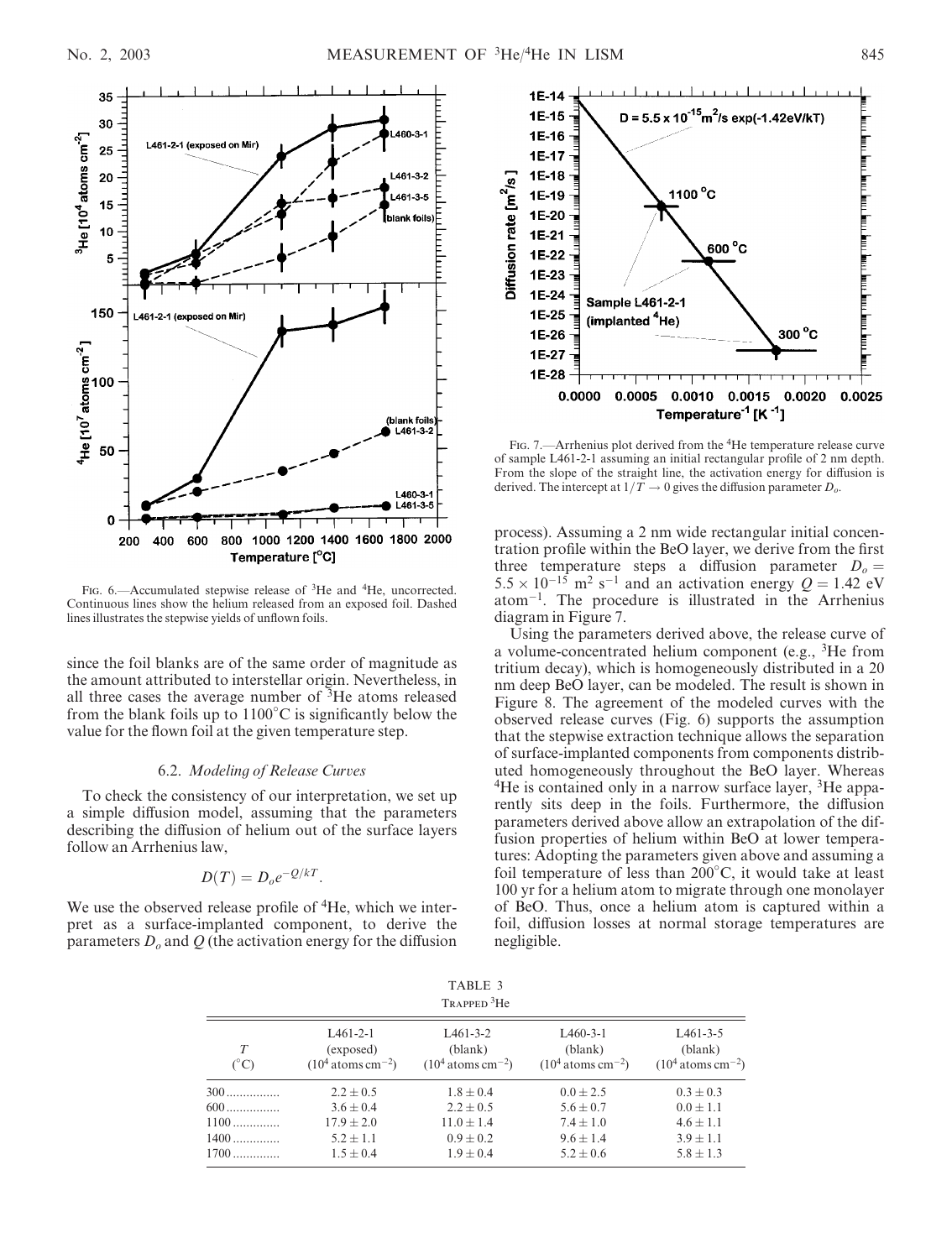

FIG. 6.—Accumulated stepwise release of <sup>3</sup>He and <sup>4</sup>He, uncorrected. Continuous lines show the helium released from an exposed foil. Dashed lines illustrates the stepwise yields of unflown foils.

since the foil blanks are of the same order of magnitude as the amount attributed to interstellar origin. Nevertheless, in all three cases the average number of 3He atoms released from the blank foils up to  $1100^{\circ}$ C is significantly below the value for the flown foil at the given temperature step.

### 6.2. Modeling of Release Curves

To check the consistency of our interpretation, we set up a simple diffusion model, assuming that the parameters describing the diffusion of helium out of the surface layers follow an Arrhenius law,

$$
D(T) = D_o e^{-Q/kT}.
$$

We use the observed release profile of <sup>4</sup>He, which we interpret as a surface-implanted component, to derive the parameters  $D<sub>o</sub>$  and Q (the activation energy for the diffusion



FIG. 7.—Arrhenius plot derived from the <sup>4</sup>He temperature release curve of sample L461-2-1 assuming an initial rectangular profile of 2 nm depth. From the slope of the straight line, the activation energy for diffusion is derived. The intercept at  $1/\overline{T} \to 0$  gives the diffusion parameter  $D_0$ .

process). Assuming a 2 nm wide rectangular initial concentration profile within the BeO layer, we derive from the first three temperature steps a diffusion parameter  $D_0 =$  $5.5 \times 10^{-15}$  m<sup>2</sup> s<sup>-1</sup> and an activation energy  $Q = 1.42$  eV  $atom^{-1}$ . The procedure is illustrated in the Arrhenius diagram in Figure 7.

Using the parameters derived above, the release curve of a volume-concentrated helium component (e.g.,  ${}^{3}$ He from tritium decay), which is homogeneously distributed in a 20 nm deep BeO layer, can be modeled. The result is shown in Figure 8. The agreement of the modeled curves with the observed release curves (Fig. 6) supports the assumption that the stepwise extraction technique allows the separation of surface-implanted components from components distributed homogeneously throughout the BeO layer. Whereas <sup>4</sup>He is contained only in a narrow surface layer, <sup>3</sup>He apparently sits deep in the foils. Furthermore, the diffusion parameters derived above allow an extrapolation of the diffusion properties of helium within BeO at lower temperatures: Adopting the parameters given above and assuming a foil temperature of less than 200 C, it would take at least 100 yr for a helium atom to migrate through one monolayer of BeO. Thus, once a helium atom is captured within a foil, diffusion losses at normal storage temperatures are negligible.

|                                          |                                                                                    | TABLE 3<br>TRAPPED <sup>3</sup> He                                                 |                                                                                   |                                                                                   |
|------------------------------------------|------------------------------------------------------------------------------------|------------------------------------------------------------------------------------|-----------------------------------------------------------------------------------|-----------------------------------------------------------------------------------|
| T<br>$(^{\circ}C)$                       | $L461-2-1$<br>(exposed)<br>$(104 atoms cm-2)$                                      | $L461 - 3 - 2$<br>(blank)<br>$(104 atoms cm-2)$                                    | $L460-3-1$<br>(blank)<br>$(104 atoms cm-2)$                                       | $L461-3-5$<br>(blank)<br>$(104 atoms cm-2)$                                       |
| 300<br>600<br>$1100$<br>$1400$<br>$1700$ | $2.2 \pm 0.5$<br>$3.6 \pm 0.4$<br>$17.9 \pm 2.0$<br>$5.2 \pm 1.1$<br>$1.5 \pm 0.4$ | $1.8 \pm 0.4$<br>$2.2 \pm 0.5$<br>$11.0 \pm 1.4$<br>$0.9 \pm 0.2$<br>$1.9 \pm 0.4$ | $0.0 \pm 2.5$<br>$5.6 \pm 0.7$<br>$7.4 \pm 1.0$<br>$9.6 \pm 1.4$<br>$5.2 \pm 0.6$ | $0.3 \pm 0.3$<br>$0.0 \pm 1.1$<br>$4.6 \pm 1.1$<br>$3.9 \pm 1.1$<br>$5.8 \pm 1.3$ |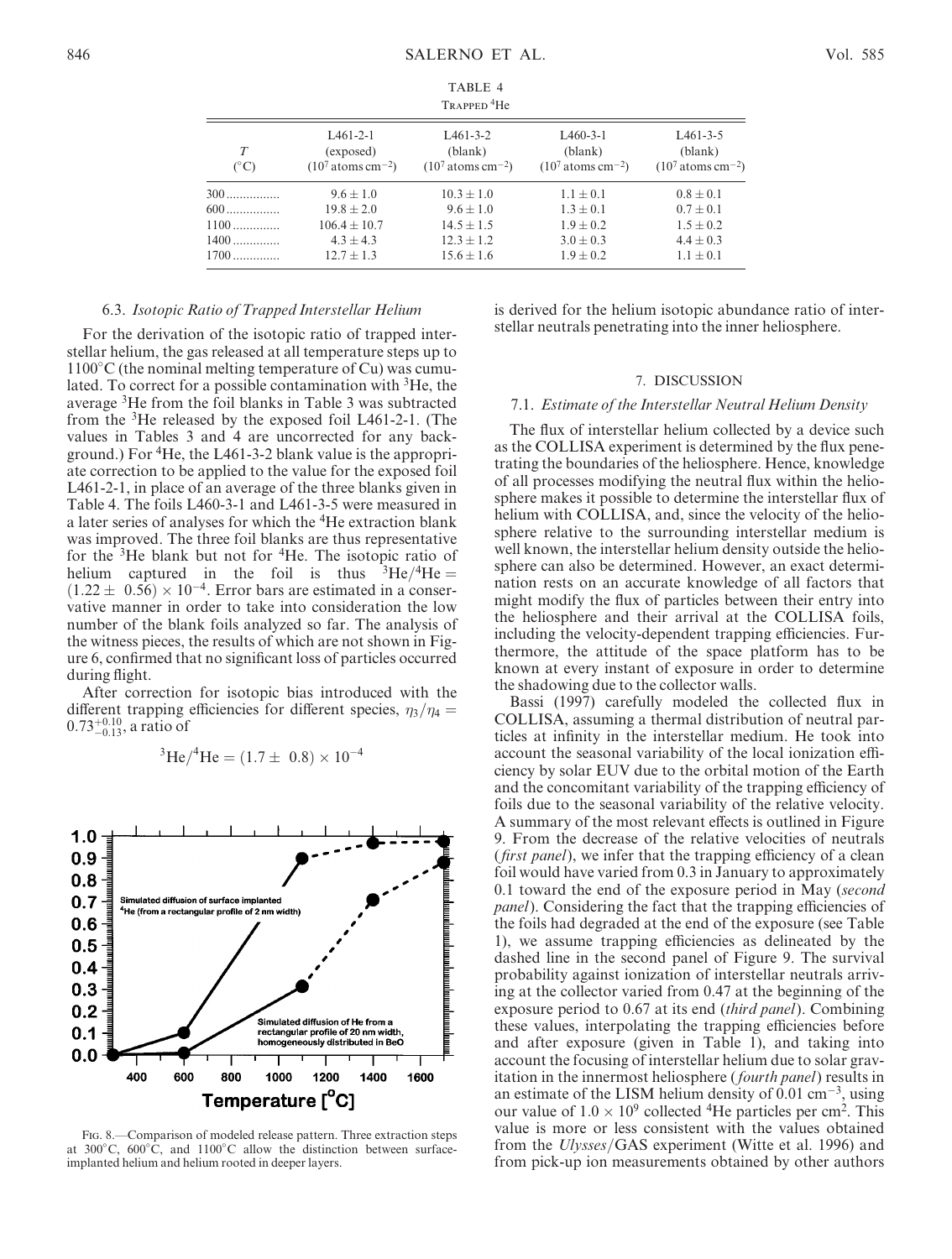| TABLE 4                 |  |
|-------------------------|--|
| TRAPPED <sup>4</sup> He |  |

| IKAPPED IIU       |                                               |                                                 |                                             |                                             |
|-------------------|-----------------------------------------------|-------------------------------------------------|---------------------------------------------|---------------------------------------------|
| T<br>$(^\circ C)$ | $L461-2-1$<br>(exposed)<br>$(107 atoms cm-2)$ | $L461 - 3 - 2$<br>(blank)<br>$(107 atoms cm-2)$ | $L460-3-1$<br>(blank)<br>$(107 atoms cm-2)$ | $L461-3-5$<br>(blank)<br>$(107 atoms cm-2)$ |
| $300$             | $9.6 \pm 1.0$                                 | $10.3 \pm 1.0$                                  | $1.1 \pm 0.1$                               | $0.8 \pm 0.1$                               |
| $600$             | $19.8 + 2.0$                                  | $9.6 + 1.0$                                     | $1.3 \pm 0.1$                               | $0.7 + 0.1$                                 |
| $1100$            | $106.4 + 10.7$                                | $14.5 \pm 1.5$                                  | $1.9 + 0.2$                                 | $1.5 \pm 0.2$                               |
| $1400$            | $4.3 \pm 4.3$                                 | $12.3 + 1.2$                                    | $3.0 \pm 0.3$                               | $4.4 \pm 0.3$                               |
| $1700$            | $12.7 + 1.3$                                  | $15.6 + 1.6$                                    | $1.9 + 0.2$                                 | $1.1 \pm 0.1$                               |

### 6.3. Isotopic Ratio of Trapped Interstellar Helium

For the derivation of the isotopic ratio of trapped interstellar helium, the gas released at all temperature steps up to 1100 C (the nominal melting temperature of Cu) was cumulated. To correct for a possible contamination with <sup>3</sup>He, the average 3He from the foil blanks in Table 3 was subtracted from the 3He released by the exposed foil L461-2-1. (The values in Tables 3 and 4 are uncorrected for any background.) For 4He, the L461-3-2 blank value is the appropriate correction to be applied to the value for the exposed foil L461-2-1, in place of an average of the three blanks given in Table 4. The foils L460-3-1 and L461-3-5 were measured in a later series of analyses for which the 4He extraction blank was improved. The three foil blanks are thus representative for the  $3$ He blank but not for  $4$ He. The isotopic ratio of helium captured in the foil is thus  ${}^{3}He/{}^{4}He =$  $(1.22 \pm 0.56) \times 10^{-4}$ . Error bars are estimated in a conservative manner in order to take into consideration the low number of the blank foils analyzed so far. The analysis of the witness pieces, the results of which are not shown in Figure 6, confirmed that no significant loss of particles occurred during flight.

After correction for isotopic bias introduced with the different trapping efficiencies for different species,  $\eta_3/\eta_4 =$  $0.73^{+0.10}_{-0.13}$ , a ratio of

<sup>3</sup>He/<sup>4</sup>He = 
$$
(1.7 \pm 0.8) \times 10^{-4}
$$



Fig. 8.—Comparison of modeled release pattern. Three extraction steps at  $300^{\circ}$ C,  $600^{\circ}$ C, and  $1100^{\circ}$ C allow the distinction between surfaceimplanted helium and helium rooted in deeper layers.

is derived for the helium isotopic abundance ratio of interstellar neutrals penetrating into the inner heliosphere.

#### 7. DISCUSSION

#### 7.1. Estimate of the Interstellar Neutral Helium Density

The flux of interstellar helium collected by a device such as the COLLISA experiment is determined by the flux penetrating the boundaries of the heliosphere. Hence, knowledge of all processes modifying the neutral flux within the heliosphere makes it possible to determine the interstellar flux of helium with COLLISA, and, since the velocity of the heliosphere relative to the surrounding interstellar medium is well known, the interstellar helium density outside the heliosphere can also be determined. However, an exact determination rests on an accurate knowledge of all factors that might modify the flux of particles between their entry into the heliosphere and their arrival at the COLLISA foils, including the velocity-dependent trapping efficiencies. Furthermore, the attitude of the space platform has to be known at every instant of exposure in order to determine the shadowing due to the collector walls.

Bassi (1997) carefully modeled the collected flux in COLLISA, assuming a thermal distribution of neutral particles at infinity in the interstellar medium. He took into account the seasonal variability of the local ionization efficiency by solar EUV due to the orbital motion of the Earth and the concomitant variability of the trapping efficiency of foils due to the seasonal variability of the relative velocity. A summary of the most relevant effects is outlined in Figure 9. From the decrease of the relative velocities of neutrals (*first panel*), we infer that the trapping efficiency of a clean foil would have varied from 0.3 in January to approximately 0.1 toward the end of the exposure period in May (second panel). Considering the fact that the trapping efficiencies of the foils had degraded at the end of the exposure (see Table 1), we assume trapping efficiencies as delineated by the dashed line in the second panel of Figure 9. The survival probability against ionization of interstellar neutrals arriving at the collector varied from 0.47 at the beginning of the exposure period to 0.67 at its end *(third panel)*. Combining these values, interpolating the trapping efficiencies before and after exposure (given in Table 1), and taking into account the focusing of interstellar helium due to solar gravitation in the innermost heliosphere (fourth panel) results in an estimate of the LISM helium density of  $0.01 \text{ cm}^{-3}$ , using our value of  $1.0 \times 10^9$  collected <sup>4</sup>He particles per cm<sup>2</sup>. This value is more or less consistent with the values obtained from the Ulysses/GAS experiment (Witte et al. 1996) and from pick-up ion measurements obtained by other authors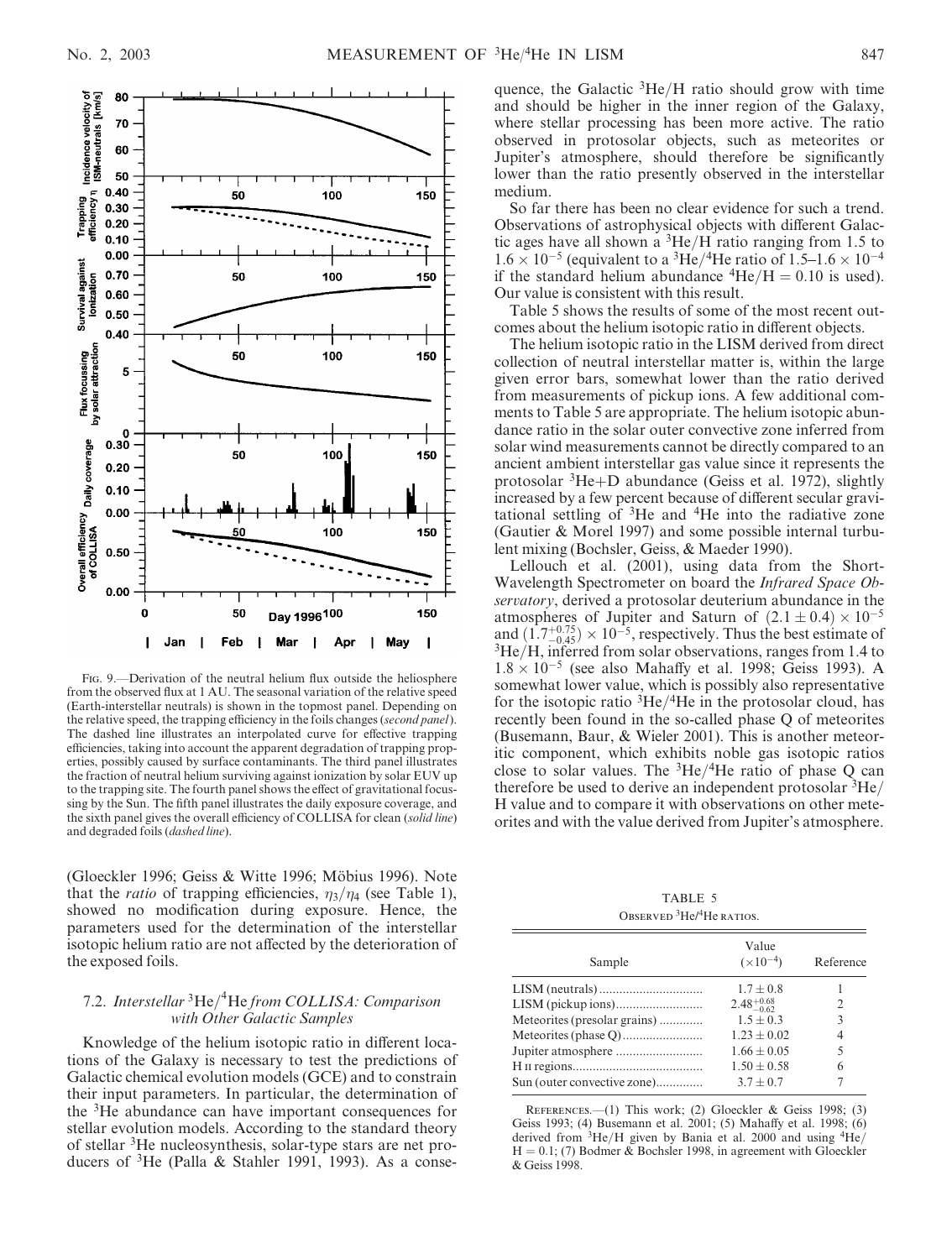

Fig. 9.—Derivation of the neutral helium flux outside the heliosphere from the observed flux at 1 AU. The seasonal variation of the relative speed (Earth-interstellar neutrals) is shown in the topmost panel. Depending on the relative speed, the trapping efficiency in the foils changes (second panel). The dashed line illustrates an interpolated curve for effective trapping efficiencies, taking into account the apparent degradation of trapping properties, possibly caused by surface contaminants. The third panel illustrates the fraction of neutral helium surviving against ionization by solar EUV up to the trapping site. The fourth panel shows the effect of gravitational focussing by the Sun. The fifth panel illustrates the daily exposure coverage, and the sixth panel gives the overall efficiency of COLLISA for clean (solid line) and degraded foils (dashed line).

(Gloeckler 1996; Geiss & Witte 1996; Möbius 1996). Note that the *ratio* of trapping efficiencies,  $\eta_3/\eta_4$  (see Table 1), showed no modification during exposure. Hence, the parameters used for the determination of the interstellar isotopic helium ratio are not affected by the deterioration of the exposed foils.

# 7.2. Interstellar <sup>3</sup>He/<sup>4</sup>He from COLLISA: Comparison with Other Galactic Samples

Knowledge of the helium isotopic ratio in different locations of the Galaxy is necessary to test the predictions of Galactic chemical evolution models (GCE) and to constrain their input parameters. In particular, the determination of the 3He abundance can have important consequences for stellar evolution models. According to the standard theory of stellar 3He nucleosynthesis, solar-type stars are net producers of  ${}^{3}$ He (Palla & Stahler 1991, 1993). As a conse-

quence, the Galactic  ${}^{3}$ He/H ratio should grow with time and should be higher in the inner region of the Galaxy, where stellar processing has been more active. The ratio observed in protosolar objects, such as meteorites or Jupiter's atmosphere, should therefore be significantly lower than the ratio presently observed in the interstellar medium.

So far there has been no clear evidence for such a trend. Observations of astrophysical objects with different Galactic ages have all shown a  ${}^{3}$ He/H ratio ranging from 1.5 to  $1.6 \times 10^{-5}$  (equivalent to a <sup>3</sup>He/<sup>4</sup>He ratio of 1.5–1.6  $\times 10^{-4}$ if the standard helium abundance  ${}^{4}He/H = 0.10$  is used). Our value is consistent with this result.

Table 5 shows the results of some of the most recent outcomes about the helium isotopic ratio in different objects.

The helium isotopic ratio in the LISM derived from direct collection of neutral interstellar matter is, within the large given error bars, somewhat lower than the ratio derived from measurements of pickup ions. A few additional comments to Table 5 are appropriate. The helium isotopic abundance ratio in the solar outer convective zone inferred from solar wind measurements cannot be directly compared to an ancient ambient interstellar gas value since it represents the protosolar  ${}^{3}$ He+D abundance (Geiss et al. 1972), slightly increased by a few percent because of different secular gravitational settling of  $3$ He and  $4$ He into the radiative zone (Gautier & Morel 1997) and some possible internal turbulent mixing (Bochsler, Geiss, & Maeder 1990).

Lellouch et al. (2001), using data from the Short-Wavelength Spectrometer on board the Infrared Space Observatory, derived a protosolar deuterium abundance in the atmospheres of Jupiter and Saturn of  $(2.1 \pm 0.4) \times 10^{-5}$ and  $(1.7^{+0.75}_{-0.45}) \times 10^{-5}$ , respectively. Thus the best estimate of  ${}^{3}$ He/H, inferred from solar observations, ranges from 1.4 to  $1.8 \times 10^{-5}$  (see also Mahaffy et al. 1998; Geiss 1993). A somewhat lower value, which is possibly also representative for the isotopic ratio  ${}^{3}$ He/ ${}^{4}$ He in the protosolar cloud, has recently been found in the so-called phase Q of meteorites (Busemann, Baur, & Wieler 2001). This is another meteoritic component, which exhibits noble gas isotopic ratios close to solar values. The  ${}^{3}$ He/ ${}^{4}$ He ratio of phase Q can therefore be used to derive an independent protosolar  ${}^{3}$ He/ H value and to compare it with observations on other meteorites and with the value derived from Jupiter's atmosphere.

TABLE 5 Observed <sup>3</sup>He/<sup>4</sup>He ratios.

|                              | Value                  |           |
|------------------------------|------------------------|-----------|
| Sample                       | $(\times 10^{-4})$     | Reference |
|                              | $1.7 \pm 0.8$          |           |
|                              | $2.48^{+0.68}_{-0.62}$ |           |
| Meteorites (presolar grains) | $1.5 + 0.3$            | 3         |
|                              | $1.23 + 0.02$          | 4         |
|                              | $1.66 \pm 0.05$        | 5         |
|                              | $1.50 \pm 0.58$        | 6         |
| Sun (outer convective zone)  | $3.7 + 0.7$            |           |

References.—(1) This work; (2) Gloeckler & Geiss 1998; (3) Geiss 1993; (4) Busemann et al. 2001; (5) Mahaffy et al. 1998; (6) derived from  ${}^{3}$ He/H given by Bania et al. 2000 and using  ${}^{4}$ He/  $H = 0.1$ ; (7) Bodmer & Bochsler 1998, in agreement with Gloeckler & Geiss 1998.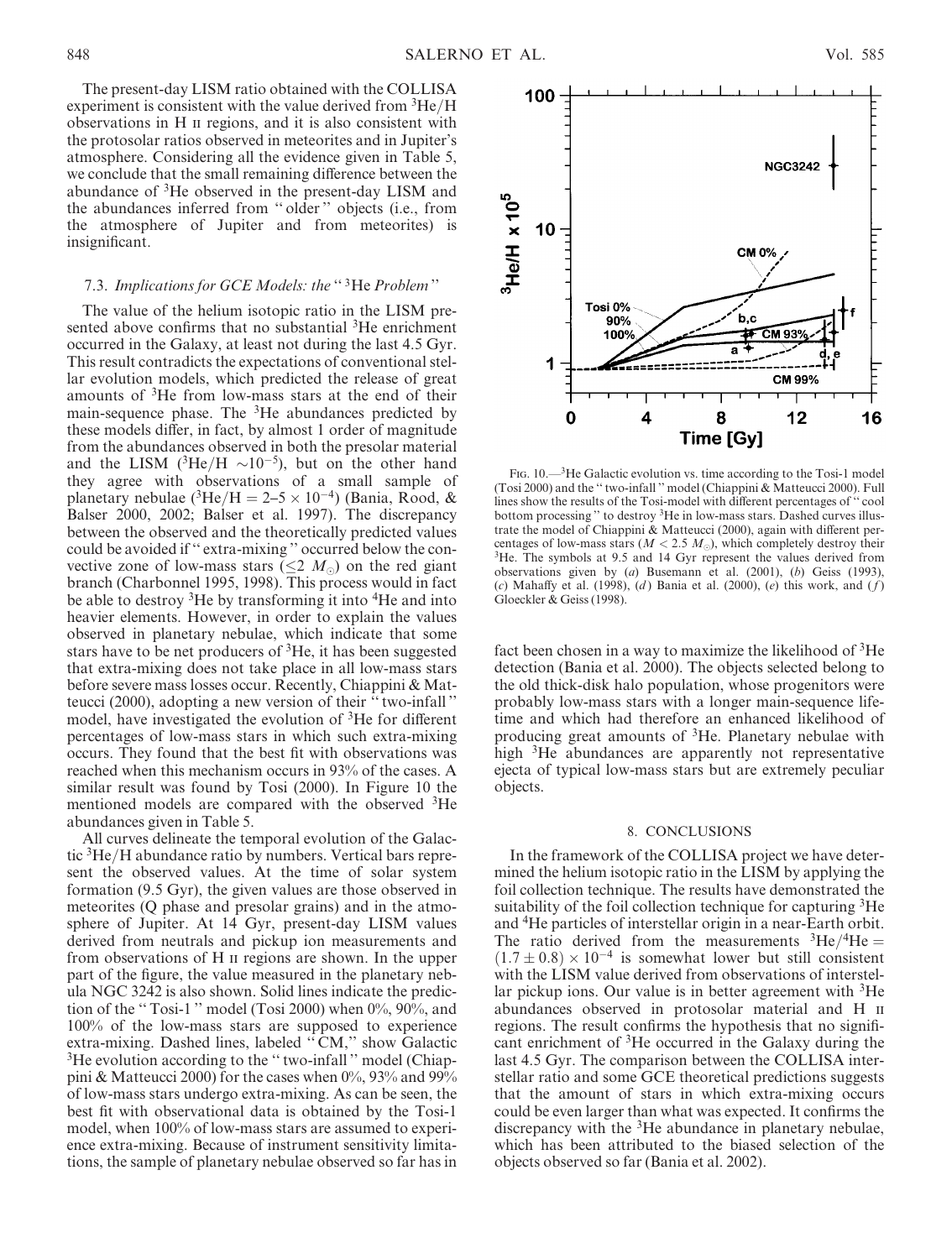The present-day LISM ratio obtained with the COLLISA experiment is consistent with the value derived from  ${}^{3}$ He/H observations in H ii regions, and it is also consistent with the protosolar ratios observed in meteorites and in Jupiter's atmosphere. Considering all the evidence given in Table 5, we conclude that the small remaining difference between the abundance of  ${}^{3}$ He observed in the present-day LISM and the abundances inferred from '' older '' objects (i.e., from the atmosphere of Jupiter and from meteorites) is insignificant.

# 7.3. Implications for GCE Models: the "3He Problem"

The value of the helium isotopic ratio in the LISM presented above confirms that no substantial <sup>3</sup>He enrichment occurred in the Galaxy, at least not during the last 4.5 Gyr. This result contradicts the expectations of conventional stellar evolution models, which predicted the release of great amounts of 3He from low-mass stars at the end of their main-sequence phase. The 3He abundances predicted by these models differ, in fact, by almost 1 order of magnitude from the abundances observed in both the presolar material and the LISM ( ${}^{3}$ He/H  $\sim 10^{-5}$ ), but on the other hand they agree with observations of a small sample of planetary nebulae ( ${}^{3}$ He/H = 2–5 × 10<sup>-4</sup>) (Bania, Rood, & Balser 2000, 2002; Balser et al. 1997). The discrepancy between the observed and the theoretically predicted values could be avoided if '' extra-mixing '' occurred below the convective zone of low-mass stars ( $\leq 2$  M<sub>o</sub>) on the red giant branch (Charbonnel 1995, 1998). This process would in fact be able to destroy <sup>3</sup>He by transforming it into <sup>4</sup>He and into heavier elements. However, in order to explain the values observed in planetary nebulae, which indicate that some stars have to be net producers of 3He, it has been suggested that extra-mixing does not take place in all low-mass stars before severe mass losses occur. Recently, Chiappini & Matteucci (2000), adopting a new version of their '' two-infall '' model, have investigated the evolution of <sup>3</sup>He for different percentages of low-mass stars in which such extra-mixing occurs. They found that the best fit with observations was reached when this mechanism occurs in 93% of the cases. A similar result was found by Tosi (2000). In Figure 10 the mentioned models are compared with the observed <sup>3</sup>He abundances given in Table 5.

All curves delineate the temporal evolution of the Galactic 3He/H abundance ratio by numbers. Vertical bars represent the observed values. At the time of solar system formation (9.5 Gyr), the given values are those observed in meteorites (Q phase and presolar grains) and in the atmosphere of Jupiter. At 14 Gyr, present-day LISM values derived from neutrals and pickup ion measurements and from observations of H ii regions are shown. In the upper part of the figure, the value measured in the planetary nebula NGC 3242 is also shown. Solid lines indicate the prediction of the "Tosi-1" model (Tosi 2000) when 0%, 90%, and 100% of the low-mass stars are supposed to experience extra-mixing. Dashed lines, labeled '' CM,'' show Galactic <sup>3</sup>He evolution according to the "two-infall" model (Chiappini & Matteucci 2000) for the cases when  $0\%$ , 93% and 99% of low-mass stars undergo extra-mixing. As can be seen, the best fit with observational data is obtained by the Tosi-1 model, when 100% of low-mass stars are assumed to experience extra-mixing. Because of instrument sensitivity limitations, the sample of planetary nebulae observed so far has in



FIG. 10.—<sup>3</sup>He Galactic evolution vs. time according to the Tosi-1 model (Tosi 2000) and the '' two-infall '' model (Chiappini & Matteucci 2000). Full lines show the results of the Tosi-model with different percentages of '' cool bottom processing '' to destroy 3He in low-mass stars. Dashed curves illustrate the model of Chiappini & Matteucci (2000), again with different percentages of low-mass stars ( $M < 2.5 M_{\odot}$ ), which completely destroy their <sup>3</sup>He. The symbols at 9.5 and 14 Gyr represent the values derived from observations given by (a) Busemann et al. (2001), (b) Geiss (1993), (c) Mahaffy et al. (1998), (d) Bania et al. (2000), (e) this work, and  $(f)$ Gloeckler & Geiss (1998).

fact been chosen in a way to maximize the likelihood of 3He detection (Bania et al. 2000). The objects selected belong to the old thick-disk halo population, whose progenitors were probably low-mass stars with a longer main-sequence lifetime and which had therefore an enhanced likelihood of producing great amounts of <sup>3</sup>He. Planetary nebulae with high <sup>3</sup>He abundances are apparently not representative ejecta of typical low-mass stars but are extremely peculiar objects.

#### 8. CONCLUSIONS

In the framework of the COLLISA project we have determined the helium isotopic ratio in the LISM by applying the foil collection technique. The results have demonstrated the suitability of the foil collection technique for capturing <sup>3</sup>He and 4He particles of interstellar origin in a near-Earth orbit. The ratio derived from the measurements  ${}^{3}He/{}^{4}He =$  $(1.7 \pm 0.8) \times 10^{-4}$  is somewhat lower but still consistent with the LISM value derived from observations of interstellar pickup ions. Our value is in better agreement with  ${}^{3}$ He abundances observed in protosolar material and H ii regions. The result confirms the hypothesis that no significant enrichment of 3He occurred in the Galaxy during the last 4.5 Gyr. The comparison between the COLLISA interstellar ratio and some GCE theoretical predictions suggests that the amount of stars in which extra-mixing occurs could be even larger than what was expected. It confirms the discrepancy with the  ${}^{3}$ He abundance in planetary nebulae, which has been attributed to the biased selection of the objects observed so far (Bania et al. 2002).